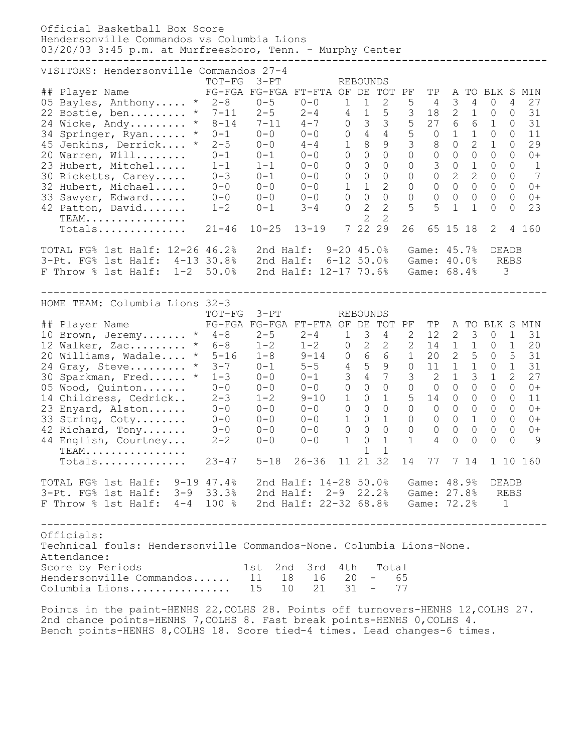Official Basketball Box Score Hendersonville Commandos vs Columbia Lions 03/20/03 3:45 p.m. at Murfreesboro, Tenn. - Murphy Center **--------------------------------------------------------------------------------** VISITORS: Hendersonville Commandos 27-4 TOT-FG 3-PT REBOUNDS ## Player Name FG-FGA FG-FGA FT-FTA OF DE TOT PF TP A TO BLK S MIN 05 Bayles, Anthony..... \* 2-8 0-5 0-0 1 1 2 5 4 3 4 0 4 27 22 Bostie, ben......... \* 7-11 2-5 2-4 4 1 5 3 18 2 1 0 0 31 24 Wicke, Andy......... \* 8-14 7-11 4-7 0 3 3 5 27 6 6 1 0 31 34 Springer, Ryan...... \* 0-1 0-0 0-0 0 4 4 5 0 1 1 0 0 11 45 Jenkins, Derrick.... \* 2-5 0-0 4-4 1 8 9 3 8 0 2 1 0 29 20 Warren, Will........ 0-1 0-1 0-0 0 0 0 0 0 0 0 0 0 0+ 23 Hubert, Mitchel..... 1-1 1-1 0-0 0 0 0 0 3 0 1 0 0 1 30 Ricketts, Carey..... 0-3 0-1 0-0 0 0 0 0 0 2 2 0 0 7 32 Hubert, Michael..... 0-0 0-0 0-0 1 1 2 0 0 0 0 0 0 0+ 33 Sawyer, Edward...... 0-0 0-0 0-0 0 0 0 0 0 0 0 0 0 0+ 42 Patton, David....... 1-2 0-1 3-4 0 2 2 5 5 1 1 0 0 23 TEAM................ 2 2 TEAM................<br>Totals............... 21-46 10-25 13-19 7 22 29 26 65 15 18 2 4 160 TOTAL FG% 1st Half: 12-26 46.2% 2nd Half: 9-20 45.0% Game: 45.7% DEADB 3-Pt. FG% 1st Half: 4-13 30.8% 2nd Half: 6-12 50.0% Game: 40.0% REBS F Throw % 1st Half: 1-2 50.0% 2nd Half: 12-17 70.6% Game: 68.4% 3 -------------------------------------------------------------------------------- HOME TEAM: Columbia Lions 32-3 TOT-FG 3-PT REBOUNDS ## Player Name FG-FGA FG-FGA FT-FTA OF DE TOT PF TP A TO BLK S MIN 10 Brown, Jeremy....... \* 4-8 2-5 2-4 1 3 4 2 12 2 3 0 1 31 12 Walker, Zac......... \* 6-8 1-2 1-2 0 2 2 2 14 1 1 0 1 20 20 Williams, Wadale.... \* 5-16 1-8 9-14 0 6 6 1 20 2 5 0 5 31 24 Gray, Steve......... \* 3-7 0-1 5-5 4 5 9 0 11 1 1 0 1 31 30 Sparkman, Fred...... \* 1-3 0-0 0-1 3 4 7 3 2 1 3 1 2 27 05 Wood, Quinton....... 0-0 0-0 0-0 0 0 0 0 0 0 0 0 0 0+ 14 Childress, Cedrick.. 2-3 1-2 9-10 1 0 1 5 14 0 0 0 0 11 23 Enyard, Alston...... 0-0 0-0 0-0 0 0 0 0 0 0 0 0 0 0+ 33 String, Coty........ 0-0 0-0 0-0 1 0 1 0 0 0 1 0 0 0+ 42 Richard, Tony....... 0-0 0-0 0-0 0 0 0 0 0 0 0 0 0 0+ 44 English, Courtney... 2-2 0-0 0-0 1 0 1 1 4 0 0 0 0 9 TEAM................ 1 1 Totals.............. 23-47 5-18 26-36 11 21 32 14 77 7 14 1 10 160 TOTAL FG% 1st Half: 9-19 47.4% 2nd Half: 14-28 50.0% Game: 48.9% DEADB 3-Pt. FG% 1st Half: 3-9 33.3% 2nd Half: 2-9 22.2% Game: 27.8% REBS F Throw % 1st Half: 4-4 100 % 2nd Half: 22-32 68.8% Game: 72.2% 1 -------------------------------------------------------------------------------- Officials: Technical fouls: Hendersonville Commandos-None. Columbia Lions-None. Attendance: Score by Periods 1st 2nd 3rd 4th Total Hendersonville Commandos...... 11 18 16 20 - 65 Columbia Lions................ 15 10 21 31 - 77 Points in the paint-HENHS 22,COLHS 28. Points off turnovers-HENHS 12,COLHS 27.

2nd chance points-HENHS 7,COLHS 8. Fast break points-HENHS 0,COLHS 4. Bench points-HENHS 8,COLHS 18. Score tied-4 times. Lead changes-6 times.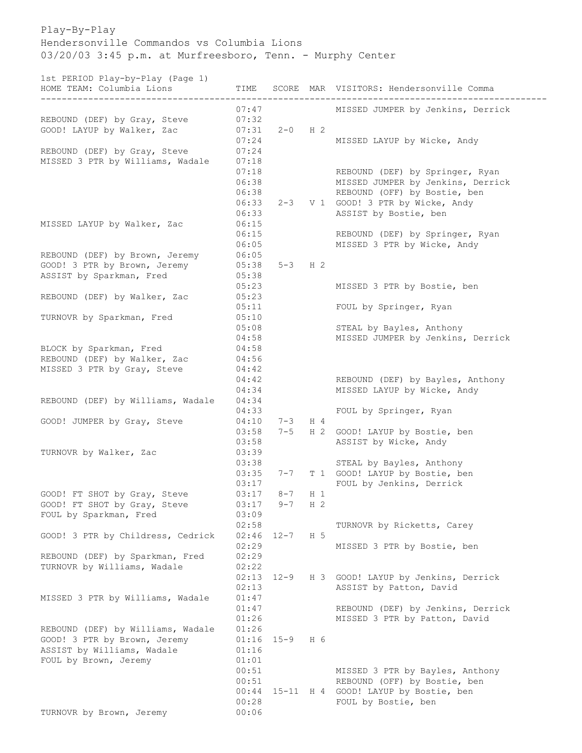Play-By-Play Hendersonville Commandos vs Columbia Lions 03/20/03 3:45 p.m. at Murfreesboro, Tenn. - Murphy Center

1st PERIOD Play-by-Play (Page 1)

| 130 FENIOD FIAY-DY-FIAY (FAGE 1)<br>HOME TEAM: Columbia Lions |       |           |                | TIME SCORE MAR VISITORS: Hendersonville Comma |
|---------------------------------------------------------------|-------|-----------|----------------|-----------------------------------------------|
|                                                               | 07:47 |           |                | MISSED JUMPER by Jenkins, Derrick             |
| REBOUND (DEF) by Gray, Steve                                  | 07:32 |           |                |                                               |
| GOOD! LAYUP by Walker, Zac                                    | 07:31 | $2-0$ H 2 |                |                                               |
|                                                               | 07:24 |           |                | MISSED LAYUP by Wicke, Andy                   |
| REBOUND (DEF) by Gray, Steve                                  | 07:24 |           |                |                                               |
| MISSED 3 PTR by Williams, Wadale                              | 07:18 |           |                |                                               |
|                                                               | 07:18 |           |                | REBOUND (DEF) by Springer, Ryan               |
|                                                               | 06:38 |           |                | MISSED JUMPER by Jenkins, Derrick             |
|                                                               | 06:38 |           |                | REBOUND (OFF) by Bostie, ben                  |
|                                                               | 06:33 |           |                | 2-3 V 1 GOOD! 3 PTR by Wicke, Andy            |
|                                                               | 06:33 |           |                | ASSIST by Bostie, ben                         |
| MISSED LAYUP by Walker, Zac                                   | 06:15 |           |                |                                               |
|                                                               | 06:15 |           |                | REBOUND (DEF) by Springer, Ryan               |
|                                                               | 06:05 |           |                | MISSED 3 PTR by Wicke, Andy                   |
|                                                               |       |           |                |                                               |
| REBOUND (DEF) by Brown, Jeremy                                | 06:05 |           |                |                                               |
| GOOD! 3 PTR by Brown, Jeremy                                  | 05:38 | $5-3$ H 2 |                |                                               |
| ASSIST by Sparkman, Fred                                      | 05:38 |           |                |                                               |
|                                                               | 05:23 |           |                | MISSED 3 PTR by Bostie, ben                   |
| REBOUND (DEF) by Walker, Zac                                  | 05:23 |           |                |                                               |
|                                                               | 05:11 |           |                | FOUL by Springer, Ryan                        |
| TURNOVR by Sparkman, Fred                                     | 05:10 |           |                |                                               |
|                                                               | 05:08 |           |                | STEAL by Bayles, Anthony                      |
|                                                               | 04:58 |           |                | MISSED JUMPER by Jenkins, Derrick             |
| BLOCK by Sparkman, Fred                                       | 04:58 |           |                |                                               |
| REBOUND (DEF) by Walker, Zac                                  | 04:56 |           |                |                                               |
| MISSED 3 PTR by Gray, Steve                                   | 04:42 |           |                |                                               |
|                                                               | 04:42 |           |                | REBOUND (DEF) by Bayles, Anthony              |
|                                                               | 04:34 |           |                | MISSED LAYUP by Wicke, Andy                   |
| REBOUND (DEF) by Williams, Wadale                             | 04:34 |           |                |                                               |
|                                                               |       |           |                |                                               |
|                                                               | 04:33 |           |                | FOUL by Springer, Ryan                        |
| GOOD! JUMPER by Gray, Steve                                   | 04:10 | $7 - 3$   | H 4            |                                               |
|                                                               | 03:58 | $7 - 5$   |                | H 2 GOOD! LAYUP by Bostie, ben                |
|                                                               | 03:58 |           |                | ASSIST by Wicke, Andy                         |
| TURNOVR by Walker, Zac                                        | 03:39 |           |                |                                               |
|                                                               | 03:38 |           |                | STEAL by Bayles, Anthony                      |
|                                                               | 03:35 | $7 - 7$   |                | T 1 GOOD! LAYUP by Bostie, ben                |
|                                                               | 03:17 |           |                | FOUL by Jenkins, Derrick                      |
| GOOD! FT SHOT by Gray, Steve                                  | 03:17 | $8 - 7$   | $H_1$          |                                               |
| GOOD! FT SHOT by Gray, Steve                                  | 03:17 | $9 - 7$   | H <sub>2</sub> |                                               |
| FOUL by Sparkman, Fred                                        | 03:09 |           |                |                                               |
|                                                               | 02:58 |           |                | TURNOVR by Ricketts, Carey                    |
| GOOD! 3 PTR by Childress, Cedrick                             | 02:46 | $12 - 7$  | H 5            |                                               |
|                                                               | 02:29 |           |                | MISSED 3 PTR by Bostie, ben                   |
| REBOUND (DEF) by Sparkman, Fred                               | 02:29 |           |                |                                               |
| TURNOVR by Williams, Wadale                                   | 02:22 |           |                |                                               |
|                                                               | 02:13 |           |                |                                               |
|                                                               |       | $12 - 9$  |                | H 3 GOOD! LAYUP by Jenkins, Derrick           |
|                                                               | 02:13 |           |                | ASSIST by Patton, David                       |
| MISSED 3 PTR by Williams, Wadale                              | 01:47 |           |                |                                               |
|                                                               | 01:47 |           |                | REBOUND (DEF) by Jenkins, Derrick             |
|                                                               | 01:26 |           |                | MISSED 3 PTR by Patton, David                 |
| REBOUND (DEF) by Williams, Wadale                             | 01:26 |           |                |                                               |
| GOOD! 3 PTR by Brown, Jeremy                                  | 01:16 | $15 - 9$  | H 6            |                                               |
| ASSIST by Williams, Wadale                                    | 01:16 |           |                |                                               |
| FOUL by Brown, Jeremy                                         | 01:01 |           |                |                                               |
|                                                               | 00:51 |           |                | MISSED 3 PTR by Bayles, Anthony               |
|                                                               | 00:51 |           |                | REBOUND (OFF) by Bostie, ben                  |
|                                                               | 00:44 |           |                | 15-11 H 4 GOOD! LAYUP by Bostie, ben          |
|                                                               | 00:28 |           |                | FOUL by Bostie, ben                           |
| TURNOVR by Brown, Jeremy                                      | 00:06 |           |                |                                               |
|                                                               |       |           |                |                                               |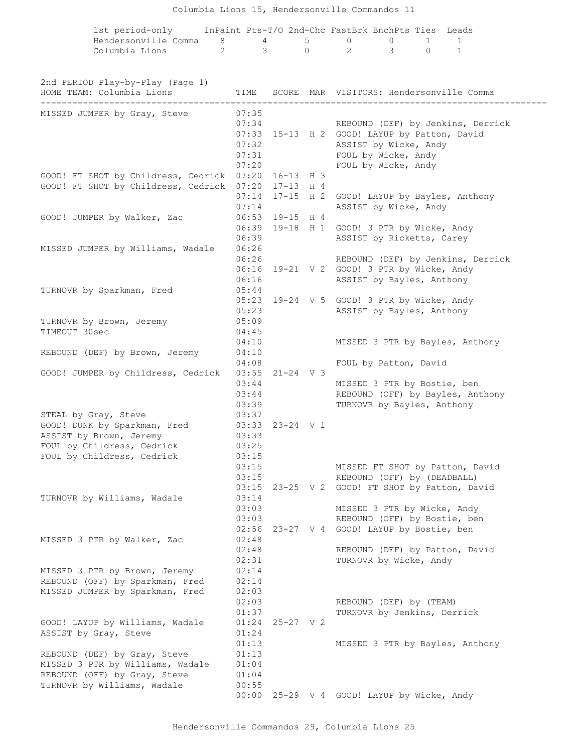## Columbia Lions 15, Hendersonville Commandos 11

|                                                               |                |                     |                                  | 1st period-only InPaint Pts-T/O 2nd-Chc FastBrk BnchPts Ties Leads |          |   |                                                |  |  |
|---------------------------------------------------------------|----------------|---------------------|----------------------------------|--------------------------------------------------------------------|----------|---|------------------------------------------------|--|--|
| Hendersonville Comma 8 4                                      |                |                     | $5 \quad \overline{\phantom{1}}$ | $\Omega$                                                           | $\Omega$ | 1 | $\mathbf{1}$                                   |  |  |
| Columbia Lions 2 3 0 2 3 0                                    |                |                     |                                  |                                                                    |          |   | $\mathbf{1}$                                   |  |  |
|                                                               |                |                     |                                  |                                                                    |          |   |                                                |  |  |
| 2nd PERIOD Play-by-Play (Page 1)<br>HOME TEAM: Columbia Lions |                |                     |                                  |                                                                    |          |   | TIME SCORE MAR VISITORS: Hendersonville Comma  |  |  |
| MISSED JUMPER by Gray, Steve                                  | 07:35          |                     |                                  |                                                                    |          |   |                                                |  |  |
|                                                               |                | 07:34               |                                  |                                                                    |          |   | REBOUND (DEF) by Jenkins, Derrick              |  |  |
|                                                               |                |                     |                                  | 07:33 15-13 H 2 GOOD! LAYUP by Patton, David                       |          |   |                                                |  |  |
|                                                               | 07:32          |                     |                                  | ASSIST by Wicke, Andy<br>FOUL by Wicke, Andy                       |          |   |                                                |  |  |
|                                                               | 07:31          | 07:20               |                                  |                                                                    |          |   |                                                |  |  |
| GOOD! FT SHOT by Childress, Cedrick 07:20 16-13 H 3           |                |                     |                                  | FOUL by Wicke, Andy                                                |          |   |                                                |  |  |
| GOOD! FT SHOT by Childress, Cedrick 07:20 17-13 H 4           |                |                     |                                  |                                                                    |          |   |                                                |  |  |
|                                                               |                |                     |                                  |                                                                    |          |   | 07:14 17-15 H 2 GOOD! LAYUP by Bayles, Anthony |  |  |
|                                                               | 07:14          |                     |                                  | ASSIST by Wicke, Andy                                              |          |   |                                                |  |  |
| GOOD! JUMPER by Walker, Zac                                   |                | $06:53$ 19-15 H 4   |                                  |                                                                    |          |   |                                                |  |  |
|                                                               |                |                     |                                  | 06:39 19-18 H 1 GOOD! 3 PTR by Wicke, Andy                         |          |   |                                                |  |  |
|                                                               | 06:39          |                     |                                  | ASSIST by Ricketts, Carey                                          |          |   |                                                |  |  |
| MISSED JUMPER by Williams, Wadale                             | 06:26          |                     |                                  |                                                                    |          |   |                                                |  |  |
|                                                               | 06:26          |                     |                                  |                                                                    |          |   | REBOUND (DEF) by Jenkins, Derrick              |  |  |
|                                                               |                |                     |                                  | 06:16 19-21 V 2 GOOD! 3 PTR by Wicke, Andy                         |          |   |                                                |  |  |
|                                                               | 06:16          |                     |                                  | ASSIST by Bayles, Anthony                                          |          |   |                                                |  |  |
| TURNOVR by Sparkman, Fred                                     | 05:44          |                     |                                  |                                                                    |          |   |                                                |  |  |
|                                                               |                |                     |                                  | 05:23 19-24 V 5 GOOD! 3 PTR by Wicke, Andy                         |          |   |                                                |  |  |
| TURNOVR by Brown, Jeremy                                      | 05:23<br>05:09 |                     |                                  | ASSIST by Bayles, Anthony                                          |          |   |                                                |  |  |
| TIMEOUT 30sec                                                 | 04:45          |                     |                                  |                                                                    |          |   |                                                |  |  |
|                                                               | 04:10          |                     |                                  |                                                                    |          |   | MISSED 3 PTR by Bayles, Anthony                |  |  |
| REBOUND (DEF) by Brown, Jeremy                                | 04:10          |                     |                                  |                                                                    |          |   |                                                |  |  |
|                                                               | 04:08          |                     |                                  | FOUL by Patton, David                                              |          |   |                                                |  |  |
| GOOD! JUMPER by Childress, Cedrick                            |                | $03:55$ $21-24$ V 3 |                                  |                                                                    |          |   |                                                |  |  |
|                                                               | 03:44          |                     |                                  | MISSED 3 PTR by Bostie, ben                                        |          |   |                                                |  |  |
|                                                               | 03:44          |                     |                                  |                                                                    |          |   | REBOUND (OFF) by Bayles, Anthony               |  |  |
|                                                               | 03:39          |                     |                                  | TURNOVR by Bayles, Anthony                                         |          |   |                                                |  |  |
| STEAL by Gray, Steve                                          | 03:37          |                     |                                  |                                                                    |          |   |                                                |  |  |
| GOOD! DUNK by Sparkman, Fred 03:33 23-24 V 1                  |                |                     |                                  |                                                                    |          |   |                                                |  |  |
| ASSIST by Brown, Jeremy                                       | 03:33          |                     |                                  |                                                                    |          |   |                                                |  |  |
| FOUL by Childress, Cedrick                                    | 03:25          |                     |                                  |                                                                    |          |   |                                                |  |  |
| FOUL by Childress, Cedrick                                    | 03:15          |                     |                                  |                                                                    |          |   |                                                |  |  |
|                                                               | 03:15          |                     |                                  |                                                                    |          |   | MISSED FT SHOT by Patton, David                |  |  |
|                                                               | 03:15          |                     |                                  | REBOUND (OFF) by (DEADBALL)                                        |          |   | 03:15 23-25 V 2 GOOD! FT SHOT by Patton, David |  |  |
| TURNOVR by Williams, Wadale                                   | 03:14          |                     |                                  |                                                                    |          |   |                                                |  |  |
|                                                               | 03:03          |                     |                                  | MISSED 3 PTR by Wicke, Andy                                        |          |   |                                                |  |  |
|                                                               | 03:03          |                     |                                  |                                                                    |          |   | REBOUND (OFF) by Bostie, ben                   |  |  |
|                                                               |                |                     |                                  | 02:56 23-27 V 4 GOOD! LAYUP by Bostie, ben                         |          |   |                                                |  |  |
| MISSED 3 PTR by Walker, Zac                                   | 02:48          |                     |                                  |                                                                    |          |   |                                                |  |  |
|                                                               | 02:48          |                     |                                  |                                                                    |          |   | REBOUND (DEF) by Patton, David                 |  |  |
|                                                               | 02:31          |                     |                                  | TURNOVR by Wicke, Andy                                             |          |   |                                                |  |  |
| MISSED 3 PTR by Brown, Jeremy                                 | 02:14          |                     |                                  |                                                                    |          |   |                                                |  |  |
| REBOUND (OFF) by Sparkman, Fred                               | 02:14          |                     |                                  |                                                                    |          |   |                                                |  |  |
| MISSED JUMPER by Sparkman, Fred                               | 02:03          |                     |                                  |                                                                    |          |   |                                                |  |  |
|                                                               | 02:03          |                     |                                  | REBOUND (DEF) by (TEAM)                                            |          |   |                                                |  |  |
|                                                               | 01:37          |                     |                                  | TURNOVR by Jenkins, Derrick                                        |          |   |                                                |  |  |
| GOOD! LAYUP by Williams, Wadale                               |                | $01:24$ 25-27 V 2   |                                  |                                                                    |          |   |                                                |  |  |
| ASSIST by Gray, Steve                                         | 01:24          |                     |                                  |                                                                    |          |   |                                                |  |  |
|                                                               | 01:13          |                     |                                  |                                                                    |          |   | MISSED 3 PTR by Bayles, Anthony                |  |  |
| REBOUND (DEF) by Gray, Steve                                  | 01:13          |                     |                                  |                                                                    |          |   |                                                |  |  |
| MISSED 3 PTR by Williams, Wadale                              | 01:04          |                     |                                  |                                                                    |          |   |                                                |  |  |
| REBOUND (OFF) by Gray, Steve<br>TURNOVR by Williams, Wadale   | 01:04<br>00:55 |                     |                                  |                                                                    |          |   |                                                |  |  |
|                                                               |                |                     |                                  | 00:00 25-29 V 4 GOOD! LAYUP by Wicke, Andy                         |          |   |                                                |  |  |
|                                                               |                |                     |                                  |                                                                    |          |   |                                                |  |  |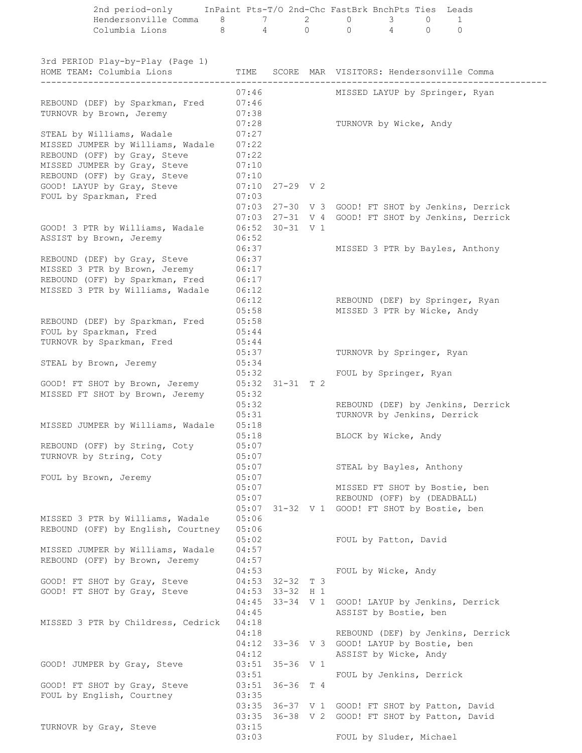| Hendersonville Comma                                                                                  | 8              | 7                                            | $\overline{2}$ | $\circ$  | 3                     | $\circ$                     | 1                                                 |  |
|-------------------------------------------------------------------------------------------------------|----------------|----------------------------------------------|----------------|----------|-----------------------|-----------------------------|---------------------------------------------------|--|
| Columbia Lions                                                                                        | 8              | $\overline{4}$                               | $\Omega$       | $\Omega$ | $\overline{4}$        | $\Omega$                    | $\Omega$                                          |  |
| 3rd PERIOD Play-by-Play (Page 1)<br>HOME TEAM: Columbia Lions<br>____________________________________ | TIME           |                                              |                |          |                       |                             | SCORE MAR VISITORS: Hendersonville Comma          |  |
|                                                                                                       | 07:46          |                                              |                |          |                       |                             | MISSED LAYUP by Springer, Ryan                    |  |
| REBOUND (DEF) by Sparkman, Fred                                                                       | 07:46          |                                              |                |          |                       |                             |                                                   |  |
| TURNOVR by Brown, Jeremy                                                                              | 07:38          |                                              |                |          |                       |                             |                                                   |  |
|                                                                                                       | 07:28          |                                              |                |          |                       | TURNOVR by Wicke, Andy      |                                                   |  |
| STEAL by Williams, Wadale<br>MISSED JUMPER by Williams, Wadale                                        | 07:27<br>07:22 |                                              |                |          |                       |                             |                                                   |  |
| REBOUND (OFF) by Gray, Steve                                                                          | 07:22          |                                              |                |          |                       |                             |                                                   |  |
| MISSED JUMPER by Gray, Steve                                                                          | 07:10          |                                              |                |          |                       |                             |                                                   |  |
| REBOUND (OFF) by Gray, Steve                                                                          | 07:10          |                                              |                |          |                       |                             |                                                   |  |
| GOOD! LAYUP by Gray, Steve                                                                            | 07:10          | $27 - 29$ V 2                                |                |          |                       |                             |                                                   |  |
| FOUL by Sparkman, Fred                                                                                | 07:03          |                                              |                |          |                       |                             |                                                   |  |
|                                                                                                       |                |                                              |                |          |                       |                             | 07:03 27-30 V 3 GOOD! FT SHOT by Jenkins, Derrick |  |
| GOOD! 3 PTR by Williams, Wadale                                                                       |                | $06:52$ $30-31$ V 1                          |                |          |                       |                             | 07:03 27-31 V 4 GOOD! FT SHOT by Jenkins, Derrick |  |
| ASSIST by Brown, Jeremy                                                                               | 06:52          |                                              |                |          |                       |                             |                                                   |  |
|                                                                                                       | 06:37          |                                              |                |          |                       |                             | MISSED 3 PTR by Bayles, Anthony                   |  |
| REBOUND (DEF) by Gray, Steve                                                                          | 06:37          |                                              |                |          |                       |                             |                                                   |  |
| MISSED 3 PTR by Brown, Jeremy                                                                         | 06:17          |                                              |                |          |                       |                             |                                                   |  |
| REBOUND (OFF) by Sparkman, Fred<br>MISSED 3 PTR by Williams, Wadale                                   | 06:17<br>06:12 |                                              |                |          |                       |                             |                                                   |  |
|                                                                                                       | 06:12          |                                              |                |          |                       |                             | REBOUND (DEF) by Springer, Ryan                   |  |
|                                                                                                       | 05:58          |                                              |                |          |                       | MISSED 3 PTR by Wicke, Andy |                                                   |  |
| REBOUND (DEF) by Sparkman, Fred                                                                       | 05:58          |                                              |                |          |                       |                             |                                                   |  |
| FOUL by Sparkman, Fred                                                                                | 05:44          |                                              |                |          |                       |                             |                                                   |  |
| TURNOVR by Sparkman, Fred                                                                             | 05:44<br>05:37 |                                              |                |          |                       | TURNOVR by Springer, Ryan   |                                                   |  |
| STEAL by Brown, Jeremy                                                                                | 05:34          |                                              |                |          |                       |                             |                                                   |  |
|                                                                                                       | 05:32          |                                              |                |          |                       | FOUL by Springer, Ryan      |                                                   |  |
| GOOD! FT SHOT by Brown, Jeremy                                                                        |                | $05:32$ $31-31$ T 2                          |                |          |                       |                             |                                                   |  |
| MISSED FT SHOT by Brown, Jeremy                                                                       | 05:32          |                                              |                |          |                       |                             |                                                   |  |
|                                                                                                       | 05:32<br>05:31 |                                              |                |          |                       | TURNOVR by Jenkins, Derrick | REBOUND (DEF) by Jenkins, Derrick                 |  |
| MISSED JUMPER by Williams, Wadale                                                                     | 05:18          |                                              |                |          |                       |                             |                                                   |  |
|                                                                                                       | 05:18          |                                              |                |          | BLOCK by Wicke, Andy  |                             |                                                   |  |
| REBOUND (OFF) by String, Coty                                                                         | 05:07          |                                              |                |          |                       |                             |                                                   |  |
| TURNOVR by String, Coty                                                                               | 05:07<br>05:07 |                                              |                |          |                       | STEAL by Bayles, Anthony    |                                                   |  |
| FOUL by Brown, Jeremy                                                                                 | 05:07          |                                              |                |          |                       |                             |                                                   |  |
|                                                                                                       | 05:07          |                                              |                |          |                       |                             | MISSED FT SHOT by Bostie, ben                     |  |
|                                                                                                       | 05:07          |                                              |                |          |                       | REBOUND (OFF) by (DEADBALL) |                                                   |  |
|                                                                                                       |                | 05:07 31-32 V 1 GOOD! FT SHOT by Bostie, ben |                |          |                       |                             |                                                   |  |
| MISSED 3 PTR by Williams, Wadale<br>REBOUND (OFF) by English, Courtney                                | 05:06<br>05:06 |                                              |                |          |                       |                             |                                                   |  |
|                                                                                                       | 05:02          |                                              |                |          | FOUL by Patton, David |                             |                                                   |  |
| MISSED JUMPER by Williams, Wadale                                                                     | 04:57          |                                              |                |          |                       |                             |                                                   |  |
| REBOUND (OFF) by Brown, Jeremy                                                                        | 04:57          |                                              |                |          |                       |                             |                                                   |  |
|                                                                                                       | 04:53          |                                              |                |          | FOUL by Wicke, Andy   |                             |                                                   |  |
| GOOD! FT SHOT by Gray, Steve<br>GOOD! FT SHOT by Gray, Steve                                          |                | $04:53$ $32-32$ T 3<br>$04:53$ 33-32 H 1     |                |          |                       |                             |                                                   |  |
|                                                                                                       | 04:45          |                                              |                |          |                       |                             | 33-34 V 1 GOOD! LAYUP by Jenkins, Derrick         |  |
|                                                                                                       | 04:45          |                                              |                |          | ASSIST by Bostie, ben |                             |                                                   |  |
| MISSED 3 PTR by Childress, Cedrick                                                                    | 04:18          |                                              |                |          |                       |                             |                                                   |  |
|                                                                                                       | 04:18          | 04:12 33-36 V 3 GOOD! LAYUP by Bostie, ben   |                |          |                       |                             | REBOUND (DEF) by Jenkins, Derrick                 |  |
|                                                                                                       | 04:12          |                                              |                |          | ASSIST by Wicke, Andy |                             |                                                   |  |
| GOOD! JUMPER by Gray, Steve                                                                           |                | $03:51$ $35-36$ V 1                          |                |          |                       |                             |                                                   |  |
|                                                                                                       | 03:51          |                                              |                |          |                       | FOUL by Jenkins, Derrick    |                                                   |  |
| GOOD! FT SHOT by Gray, Steve                                                                          |                | $03:51$ $36-36$ T 4                          |                |          |                       |                             |                                                   |  |
| FOUL by English, Courtney                                                                             | 03:35          |                                              |                |          |                       |                             | 03:35 36-37 V 1 GOOD! FT SHOT by Patton, David    |  |
|                                                                                                       | 03:35          |                                              |                |          |                       |                             | 36-38 V 2 GOOD! FT SHOT by Patton, David          |  |
| TURNOVR by Gray, Steve                                                                                | 03:15          |                                              |                |          |                       |                             |                                                   |  |
|                                                                                                       | 03:03          |                                              |                |          |                       | FOUL by Sluder, Michael     |                                                   |  |

2nd period-only InPaint Pts-T/O 2nd-Chc FastBrk BnchPts Ties Leads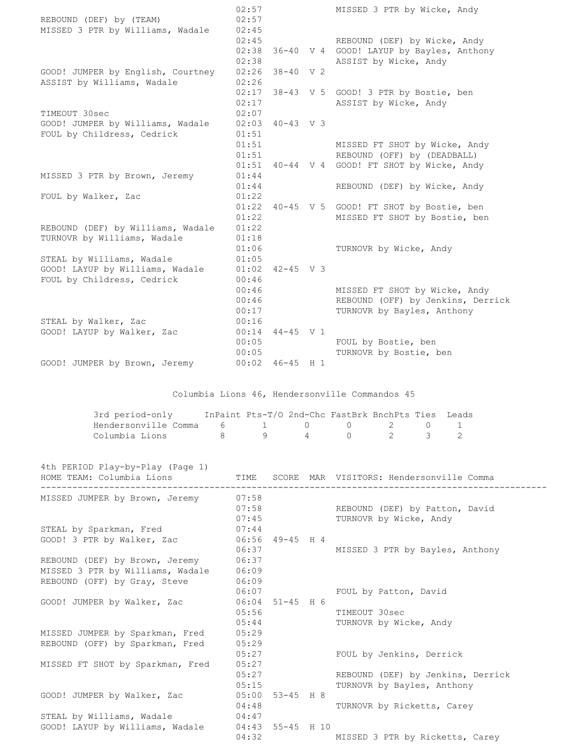|                                   | 02:57        |                   |                | MISSED 3 PTR by Wicke, Andy                        |
|-----------------------------------|--------------|-------------------|----------------|----------------------------------------------------|
| REBOUND (DEF) by (TEAM)           | 02:57        |                   |                |                                                    |
| MISSED 3 PTR by Williams, Wadale  | 02:45        |                   |                |                                                    |
|                                   | 02:45        |                   |                | REBOUND (DEF) by Wicke, Andy                       |
|                                   | 02:38        | $36 - 40$         |                | V 4 GOOD! LAYUP by Bayles, Anthony                 |
|                                   | 02:38        |                   |                | ASSIST by Wicke, Andy                              |
| GOOD! JUMPER by English, Courtney | 02:26        | 38-40             | V <sub>2</sub> |                                                    |
| ASSIST by Williams, Wadale        | 02:26        |                   |                |                                                    |
|                                   | 02:17        |                   |                | 38-43 V 5 GOOD! 3 PTR by Bostie, ben               |
|                                   | 02:17        |                   |                | ASSIST by Wicke, Andy                              |
| TIMEOUT 30sec                     | 02:07        |                   |                |                                                    |
| GOOD! JUMPER by Williams, Wadale  | 02:03        | $40 - 43$ V 3     |                |                                                    |
| FOUL by Childress, Cedrick        | 01:51        |                   |                |                                                    |
|                                   | 01:51        |                   |                | MISSED FT SHOT by Wicke, Andy                      |
|                                   | 01:51        |                   |                | REBOUND (OFF) by (DEADBALL)                        |
|                                   | 01:51        |                   |                | 40-44 V 4 GOOD! FT SHOT by Wicke, Andy             |
| MISSED 3 PTR by Brown, Jeremy     | 01:44        |                   |                |                                                    |
|                                   | 01:44        |                   |                | REBOUND (DEF) by Wicke, Andy                       |
| FOUL by Walker, Zac               | 01:22        |                   |                |                                                    |
|                                   | 01:22        |                   |                | 40-45 V 5 GOOD! FT SHOT by Bostie, ben             |
|                                   | 01:22        |                   |                | MISSED FT SHOT by Bostie, ben                      |
| REBOUND (DEF) by Williams, Wadale | 01:22        |                   |                |                                                    |
| TURNOVR by Williams, Wadale       | 01:18        |                   |                |                                                    |
|                                   | 01:06        |                   |                | TURNOVR by Wicke, Andy                             |
| STEAL by Williams, Wadale         | 01:05        |                   |                |                                                    |
| GOOD! LAYUP by Williams, Wadale   | 01:02        | $42 - 45$ V 3     |                |                                                    |
| FOUL by Childress, Cedrick        | 00:46        |                   |                |                                                    |
|                                   | 00:46        |                   |                | MISSED FT SHOT by Wicke, Andy                      |
|                                   | 00:46        |                   |                | REBOUND (OFF) by Jenkins, Derrick                  |
|                                   | 00:17        |                   |                | TURNOVR by Bayles, Anthony                         |
| STEAL by Walker, Zac              | 00:16        |                   |                |                                                    |
| GOOD! LAYUP by Walker, Zac        | 00:14        | $44 - 45$ V 1     |                |                                                    |
|                                   | 00:05        |                   |                | FOUL by Bostie, ben                                |
|                                   | 00:05        |                   |                | TURNOVR by Bostie, ben                             |
| GOOD! JUMPER by Brown, Jeremy     |              | $00:02$ 46-45 H 1 |                |                                                    |
|                                   |              |                   |                |                                                    |
|                                   |              |                   |                | Columbia Lions 46, Hendersonville Commandos 45     |
|                                   |              |                   |                |                                                    |
| 3rd period-only                   |              |                   |                | InPaint Pts-T/O 2nd-Chc FastBrk BnchPts Ties Leads |
| Hendersonville Comma<br>6         | $\mathbf{1}$ |                   | 0              | $\circ$<br>$\overline{2}$<br>$\circ$<br>1          |
| Columbia Lions<br>8               | 9            |                   | 4              | $\overline{2}$<br>$\Omega$<br>3<br>$\mathfrak{D}$  |
|                                   |              |                   |                |                                                    |
| 4th PERIOD Play-by-Play (Page 1)  |              |                   |                |                                                    |

| HOME TEAM: Columbia Lions        |       |                     | TIME SCORE MAR VISITORS: Hendersonville Comma |
|----------------------------------|-------|---------------------|-----------------------------------------------|
| MISSED JUMPER by Brown, Jeremy   | 07:58 |                     |                                               |
|                                  | 07:58 |                     | REBOUND (DEF) by Patton, David                |
|                                  |       | 07:45               | TURNOVR by Wicke, Andy                        |
| STEAL by Sparkman, Fred          | 07:44 |                     |                                               |
| GOOD! 3 PTR by Walker, Zac       |       | $06:56$ 49-45 H 4   |                                               |
|                                  | 06:37 |                     | MISSED 3 PTR by Bayles, Anthony               |
| REBOUND (DEF) by Brown, Jeremy   | 06:37 |                     |                                               |
| MISSED 3 PTR by Williams, Wadale | 06:09 |                     |                                               |
| REBOUND (OFF) by Gray, Steve     | 06:09 |                     |                                               |
|                                  | 06:07 |                     | FOUL by Patton, David                         |
| GOOD! JUMPER by Walker, Zac      |       | $06:04$ 51-45 H 6   |                                               |
|                                  | 05:56 |                     | TIMEOUT 30sec                                 |
|                                  | 05:44 |                     | TURNOVR by Wicke, Andy                        |
| MISSED JUMPER by Sparkman, Fred  | 05:29 |                     |                                               |
| REBOUND (OFF) by Sparkman, Fred  | 05:29 |                     |                                               |
|                                  | 05:27 |                     | FOUL by Jenkins, Derrick                      |
| MISSED FT SHOT by Sparkman, Fred | 05:27 |                     |                                               |
|                                  | 05:27 |                     | REBOUND (DEF) by Jenkins, Derrick             |
|                                  | 05:15 |                     | TURNOVR by Bayles, Anthony                    |
| GOOD! JUMPER by Walker, Zac      |       | $05:00$ $53-45$ H 8 |                                               |
|                                  | 04:48 |                     | TURNOVR by Ricketts, Carey                    |
| STEAL by Williams, Wadale        | 04:47 |                     |                                               |
| GOOD! LAYUP by Williams, Wadale  |       | 04:43 55-45 H 10    |                                               |
|                                  | 04:32 |                     | MISSED 3 PTR by Ricketts, Carey               |
|                                  |       |                     |                                               |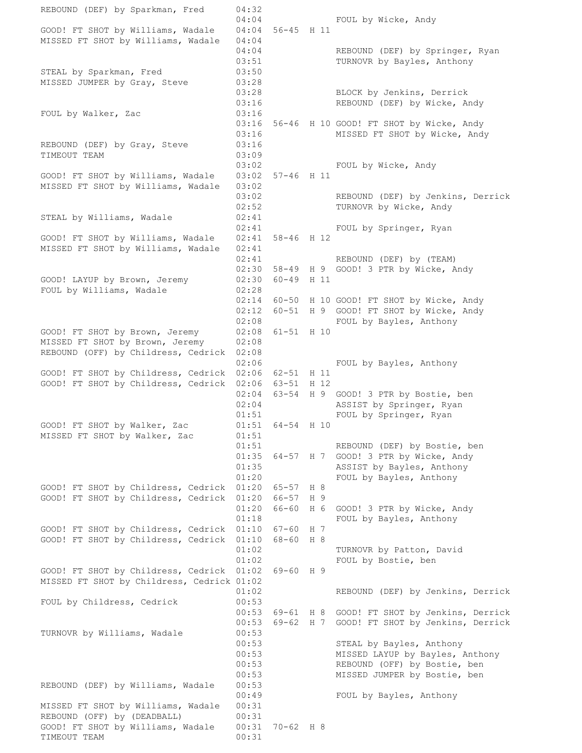REBOUND (DEF) by Sparkman, Fred 04:32 04:04 FOUL by Wicke, Andy GOOD! FT SHOT by Williams, Wadale 04:04 56-45 H 11 MISSED FT SHOT by Williams, Wadale 04:04 04:04 REBOUND (DEF) by Springer, Ryan 03:51 TURNOVR by Bayles, Anthony STEAL by Sparkman, Fred 03:50 MISSED JUMPER by Gray, Steve 03:28 03:28 BLOCK by Jenkins, Derrick 03:16 REBOUND (DEF) by Wicke, Andy FOUL by Walker, Zac 03:16 03:16 56-46 H 10 GOOD! FT SHOT by Wicke, Andy 03:16 MISSED FT SHOT by Wicke, Andy REBOUND (DEF) by Gray, Steve 03:16 TIMEOUT TEAM 03:09 03:02 FOUL by Wicke, Andy GOOD! FT SHOT by Williams, Wadale 03:02 57-46 H 11 MISSED FT SHOT by Williams, Wadale 03:02 03:02 REBOUND (DEF) by Jenkins, Derrick 02:52 TURNOVR by Wicke, Andy STEAL by Williams, Wadale  $02:41$ 02:41 FOUL by Springer, Ryan GOOD! FT SHOT by Williams, Wadale 02:41 58-46 H 12 MISSED FT SHOT by Williams, Wadale 02:41 02:41 REBOUND (DEF) by (TEAM) 02:30 58-49 H 9 GOOD! 3 PTR by Wicke, Andy GOOD! LAYUP by Brown, Jeremy 02:30 60-49 H 11 FOUL by Williams, Wadale 02:28 02:14 60-50 H 10 GOOD! FT SHOT by Wicke, Andy 02:12 60-51 H 9 GOOD! FT SHOT by Wicke, Andy 02:08 FOUL by Bayles, Anthony GOOD! FT SHOT by Brown, Jeremy 02:08 61-51 H 10 MISSED FT SHOT by Brown, Jeremy 02:08 REBOUND (OFF) by Childress, Cedrick 02:08 02:06 FOUL by Bayles, Anthony GOOD! FT SHOT by Childress, Cedrick 02:06 62-51 H 11 GOOD! FT SHOT by Childress, Cedrick 02:06 63-51 H 12 02:04 63-54 H 9 GOOD! 3 PTR by Bostie, ben 02:04 ASSIST by Springer, Ryan 01:51 FOUL by Springer, Ryan GOOD! FT SHOT by Walker, Zac 01:51 64-54 H 10 MISSED FT SHOT by Walker, Zac 01:51 01:51 REBOUND (DEF) by Bostie, ben 01:35 64-57 H 7 GOOD! 3 PTR by Wicke, Andy 01:35 ASSIST by Bayles, Anthony 01:20 FOUL by Bayles, Anthony GOOD! FT SHOT by Childress, Cedrick 01:20 65-57 H 8 GOOD! FT SHOT by Childress, Cedrick 01:20 66-57 H 9 01:20 66-60 H 6 GOOD! 3 PTR by Wicke, Andy 01:18 FOUL by Bayles, Anthony GOOD! FT SHOT by Childress, Cedrick 01:10 67-60 H 7 GOOD! FT SHOT by Childress, Cedrick 01:10 68-60 H 8 01:02 TURNOVR by Patton, David 01:02 FOUL by Bostie, ben GOOD! FT SHOT by Childress, Cedrick 01:02 69-60 H 9 MISSED FT SHOT by Childress, Cedrick 01:02 01:02 REBOUND (DEF) by Jenkins, Derrick FOUL by Childress, Cedrick 00:53 00:53 69-61 H 8 GOOD! FT SHOT by Jenkins, Derrick  $00:53$  69-62 H 7 GOOD! FT SHOT by Jenkins, Derrick TURNOVR by Williams, Wadale 00:53 00:53 STEAL by Bayles, Anthony 00:53 MISSED LAYUP by Bayles, Anthony 00:53 REBOUND (OFF) by Bostie, ben 00:53 MISSED JUMPER by Bostie, ben REBOUND (DEF) by Williams, Wadale 00:53 00:49 FOUL by Bayles, Anthony MISSED FT SHOT by Williams, Wadale 00:31 REBOUND (OFF) by (DEADBALL) 00:31 GOOD! FT SHOT by Williams, Wadale 00:31 70-62 H 8 TIMEOUT TEAM 00:31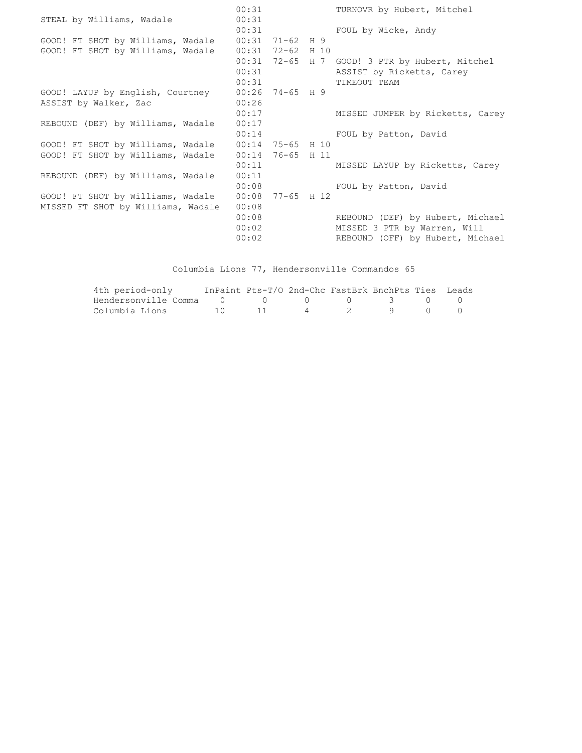|                                    | 00:31              |                    | TURNOVR by Hubert, Mitchel                     |
|------------------------------------|--------------------|--------------------|------------------------------------------------|
| STEAL by Williams, Wadale          | 00:31              |                    |                                                |
|                                    | 00:31              |                    | FOUL by Wicke, Andy                            |
| GOOD! FT SHOT by Williams, Wadale  | $00:31$ 71-62 H 9  |                    |                                                |
| GOOD! FT SHOT by Williams, Wadale  |                    | $00:31$ 72-62 H 10 |                                                |
|                                    |                    |                    | 00:31 72-65 H 7 GOOD! 3 PTR by Hubert, Mitchel |
|                                    | 00:31              |                    | ASSIST by Ricketts, Carey                      |
|                                    | 00:31              |                    | TIMEOUT TEAM                                   |
| GOOD! LAYUP by English, Courtney   |                    | $00:26$ 74-65 H 9  |                                                |
| ASSIST by Walker, Zac              | 00:26              |                    |                                                |
|                                    | 00:17              |                    | MISSED JUMPER by Ricketts, Carey               |
| REBOUND (DEF) by Williams, Wadale  | 00:17              |                    |                                                |
|                                    | 00:14              |                    | FOUL by Patton, David                          |
| GOOD! FT SHOT by Williams, Wadale  | $00:14$ 75-65 H 10 |                    |                                                |
| GOOD! FT SHOT by Williams, Wadale  | 00:14              | 76-65 H 11         |                                                |
|                                    | 00:11              |                    | MISSED LAYUP by Ricketts, Carey                |
| REBOUND (DEF) by Williams, Wadale  | 00:11              |                    |                                                |
|                                    | 00:08              |                    | FOUL by Patton, David                          |
| GOOD! FT SHOT by Williams, Wadale  |                    | $00:08$ 77-65 H 12 |                                                |
| MISSED FT SHOT by Williams, Wadale | 00:08              |                    |                                                |
|                                    | 00:08              |                    | REBOUND (DEF) by Hubert, Michael               |
|                                    | 00:02              |                    | MISSED 3 PTR by Warren, Will                   |
|                                    | 00:02              |                    | REBOUND (OFF) by Hubert, Michael               |
|                                    |                    |                    |                                                |

Columbia Lions 77, Hendersonville Commandos 65

| 4th period-only                      | InPaint Pts-T/O 2nd-Chc FastBrk BnchPts Ties Leads |  |           |  |
|--------------------------------------|----------------------------------------------------|--|-----------|--|
| Hendersonville Comma 0 0 0 0 0 3 0 0 |                                                    |  |           |  |
| Columbia Lions                       | 10 11                                              |  | 4 2 9 0 0 |  |